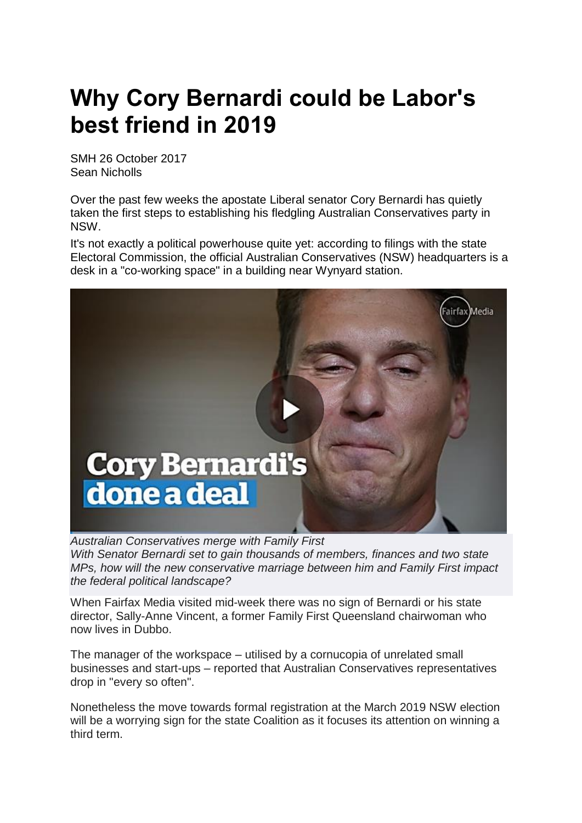## **Why Cory Bernardi could be Labor's best friend in 2019**

SMH 26 October 2017 Sean Nicholls

Over the past few weeks the apostate Liberal senator Cory Bernardi has quietly taken the first steps to establishing his fledgling Australian Conservatives party in NSW.

It's not exactly a political powerhouse quite yet: according to filings with the state Electoral Commission, the official Australian Conservatives (NSW) headquarters is a desk in a "co-working space" in a building near Wynyard station.



*Australian Conservatives merge with Family First With Senator Bernardi set to gain thousands of members, finances and two state MPs, how will the new conservative marriage between him and Family First impact the federal political landscape?*

When Fairfax Media visited mid-week there was no sign of Bernardi or his state director, Sally-Anne Vincent, a former Family First Queensland chairwoman who now lives in Dubbo.

The manager of the workspace – utilised by a cornucopia of unrelated small businesses and start-ups – reported that Australian Conservatives representatives drop in "every so often".

Nonetheless the move towards formal registration at the March 2019 NSW election will be a worrying sign for the state Coalition as it focuses its attention on winning a third term.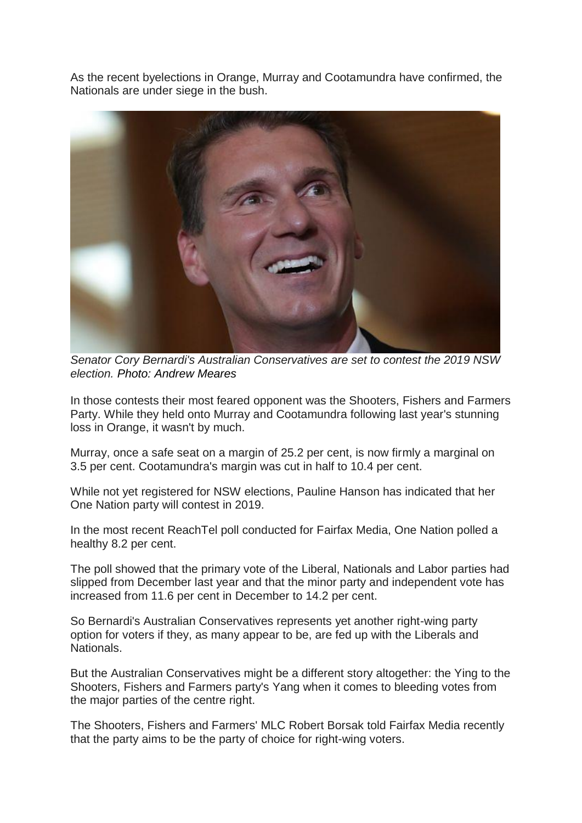As the recent byelections in Orange, Murray and Cootamundra have confirmed, the Nationals are under siege in the bush.



*Senator Cory Bernardi's Australian Conservatives are set to contest the 2019 NSW election. Photo: Andrew Meares*

In those contests their most feared opponent was the Shooters, Fishers and Farmers Party. While they held onto Murray and Cootamundra following last year's stunning loss in Orange, it wasn't by much.

Murray, once a safe seat on a margin of 25.2 per cent, is now firmly a marginal on 3.5 per cent. Cootamundra's margin was cut in half to 10.4 per cent.

While not yet registered for NSW elections, Pauline Hanson has indicated that her One Nation party will contest in 2019.

In the most recent ReachTel poll conducted for Fairfax Media, One Nation polled a healthy 8.2 per cent.

The poll showed that the primary vote of the Liberal, Nationals and Labor parties had slipped from December last year and that the minor party and independent vote has increased from 11.6 per cent in December to 14.2 per cent.

So Bernardi's Australian Conservatives represents yet another right-wing party option for voters if they, as many appear to be, are fed up with the Liberals and Nationals.

But the Australian Conservatives might be a different story altogether: the Ying to the Shooters, Fishers and Farmers party's Yang when it comes to bleeding votes from the major parties of the centre right.

The Shooters, Fishers and Farmers' MLC Robert Borsak told Fairfax Media recently that the party aims to be the party of choice for right-wing voters.